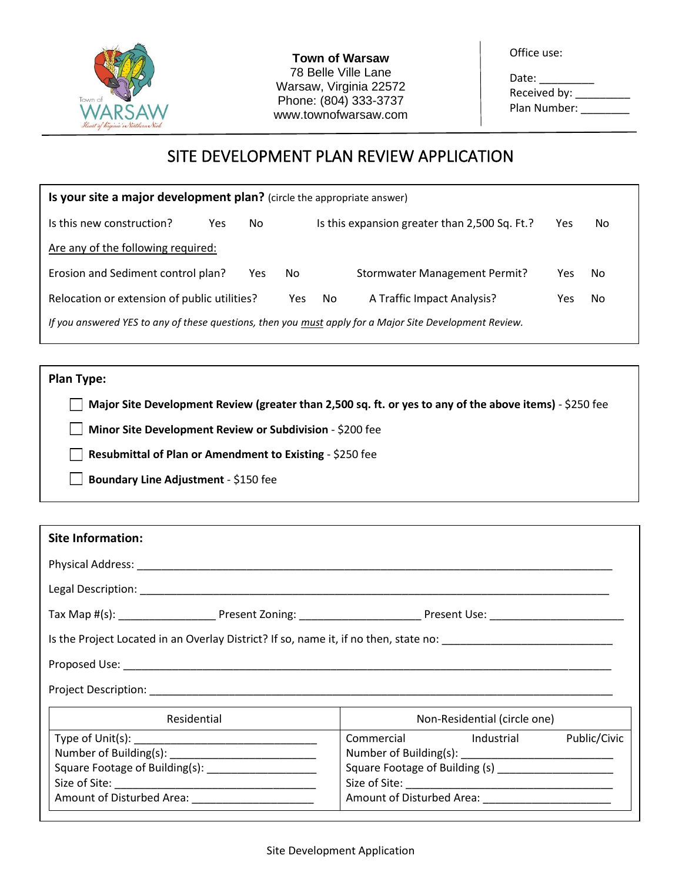

**Town of Warsaw** 78 Belle Ville Lane Warsaw, Virginia 22572 Phone: (804) 333-3737 www.townofwarsaw.com Office use:

Date: \_\_\_\_\_\_\_\_\_ Received by: \_\_\_\_\_\_\_\_\_\_\_ Plan Number: \_\_\_\_\_\_\_\_

# SITE DEVELOPMENT PLAN REVIEW APPLICATION

| Is your site a major development plan? (circle the appropriate answer)                                  |     |     |     |                            |                                               |     |    |
|---------------------------------------------------------------------------------------------------------|-----|-----|-----|----------------------------|-----------------------------------------------|-----|----|
| Is this new construction?                                                                               | Yes | No  |     |                            | Is this expansion greater than 2,500 Sq. Ft.? | Yes | No |
| Are any of the following required:                                                                      |     |     |     |                            |                                               |     |    |
| Erosion and Sediment control plan?                                                                      |     | Yes | No. |                            | <b>Stormwater Management Permit?</b>          | Yes | No |
| Relocation or extension of public utilities?                                                            |     | Yes | No. | A Traffic Impact Analysis? | Yes                                           | No  |    |
| If you answered YES to any of these questions, then you must apply for a Major Site Development Review. |     |     |     |                            |                                               |     |    |

**Plan Type:** 

**Major Site Development Review (greater than 2,500 sq. ft. or yes to any of the above items)** - \$250 fee

**Minor Site Development Review or Subdivision** - \$200 fee

**Resubmittal of Plan or Amendment to Existing** - \$250 fee

**Boundary Line Adjustment** - \$150 fee

| <b>Site Information:</b>                                                                                               |                                                                                                 |
|------------------------------------------------------------------------------------------------------------------------|-------------------------------------------------------------------------------------------------|
|                                                                                                                        |                                                                                                 |
|                                                                                                                        |                                                                                                 |
|                                                                                                                        |                                                                                                 |
| Is the Project Located in an Overlay District? If so, name it, if no then, state no: _________________________________ |                                                                                                 |
|                                                                                                                        |                                                                                                 |
|                                                                                                                        |                                                                                                 |
| Residential                                                                                                            | Non-Residential (circle one)                                                                    |
| Square Footage of Building(s): _______________________                                                                 | Commercial Industrial<br>Public/Civic<br>Square Footage of Building (s) _______________________ |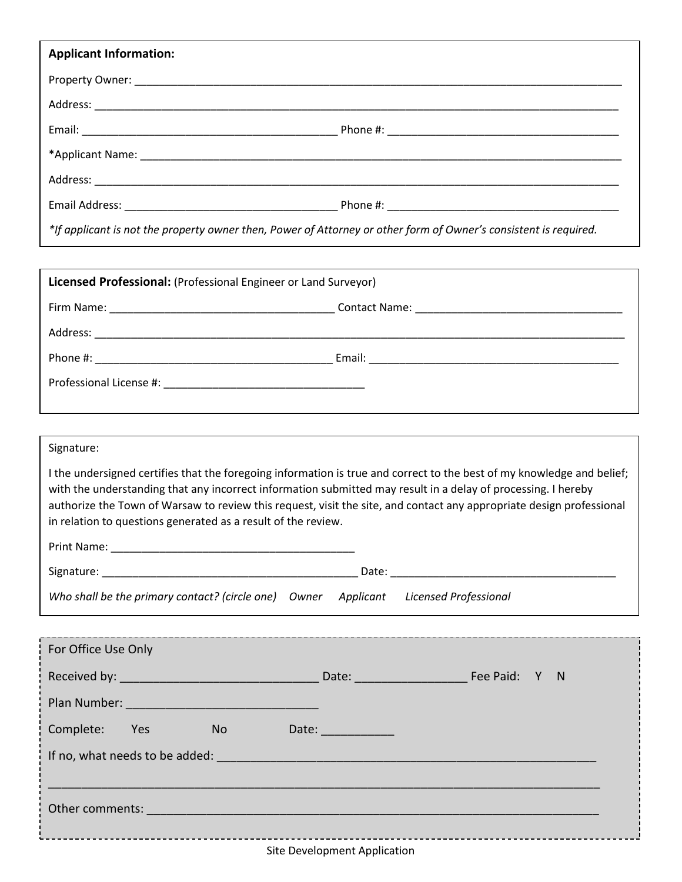| <b>Applicant Information:</b>                                                                                    |  |
|------------------------------------------------------------------------------------------------------------------|--|
|                                                                                                                  |  |
|                                                                                                                  |  |
|                                                                                                                  |  |
|                                                                                                                  |  |
|                                                                                                                  |  |
|                                                                                                                  |  |
| *If applicant is not the property owner then, Power of Attorney or other form of Owner's consistent is required. |  |

| Licensed Professional: (Professional Engineer or Land Surveyor)                                                                                                                                                                                                                                                                                                                                                                  |  |  |  |
|----------------------------------------------------------------------------------------------------------------------------------------------------------------------------------------------------------------------------------------------------------------------------------------------------------------------------------------------------------------------------------------------------------------------------------|--|--|--|
|                                                                                                                                                                                                                                                                                                                                                                                                                                  |  |  |  |
|                                                                                                                                                                                                                                                                                                                                                                                                                                  |  |  |  |
|                                                                                                                                                                                                                                                                                                                                                                                                                                  |  |  |  |
|                                                                                                                                                                                                                                                                                                                                                                                                                                  |  |  |  |
|                                                                                                                                                                                                                                                                                                                                                                                                                                  |  |  |  |
| Signature:                                                                                                                                                                                                                                                                                                                                                                                                                       |  |  |  |
| I the undersigned certifies that the foregoing information is true and correct to the best of my knowledge and belief;<br>with the understanding that any incorrect information submitted may result in a delay of processing. I hereby<br>authorize the Town of Warsaw to review this request, visit the site, and contact any appropriate design professional<br>in relation to questions generated as a result of the review. |  |  |  |
|                                                                                                                                                                                                                                                                                                                                                                                                                                  |  |  |  |
|                                                                                                                                                                                                                                                                                                                                                                                                                                  |  |  |  |
| Who shall be the primary contact? (circle one) Owner Applicant Licensed Professional                                                                                                                                                                                                                                                                                                                                             |  |  |  |
| For Office Use Only                                                                                                                                                                                                                                                                                                                                                                                                              |  |  |  |
|                                                                                                                                                                                                                                                                                                                                                                                                                                  |  |  |  |
|                                                                                                                                                                                                                                                                                                                                                                                                                                  |  |  |  |
| Complete: Yes<br><b>No</b><br>Date: _____________                                                                                                                                                                                                                                                                                                                                                                                |  |  |  |
|                                                                                                                                                                                                                                                                                                                                                                                                                                  |  |  |  |
|                                                                                                                                                                                                                                                                                                                                                                                                                                  |  |  |  |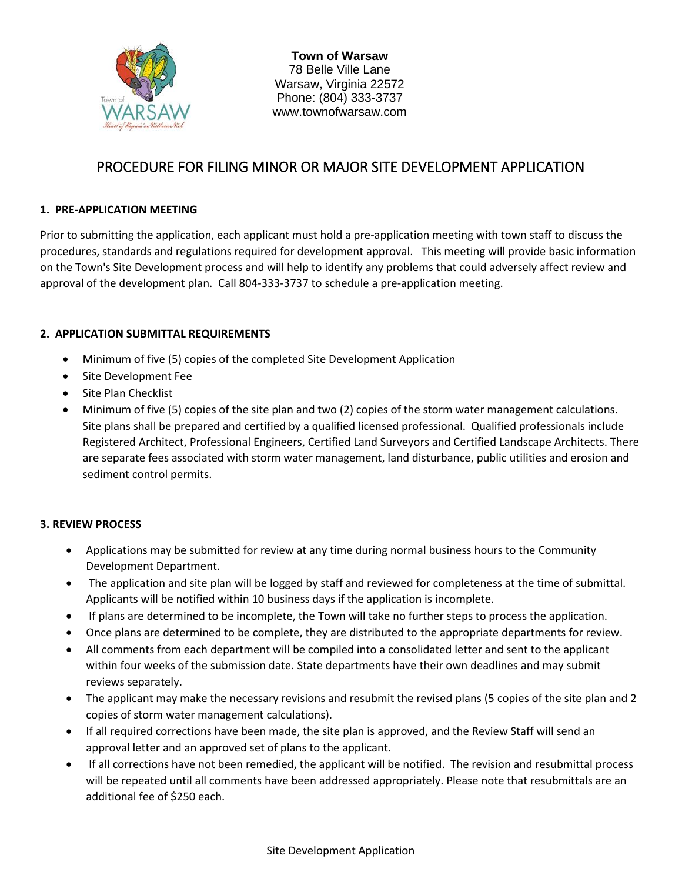

**Town of Warsaw** 78 Belle Ville Lane Warsaw, Virginia 22572 Phone: (804) 333-3737 www.townofwarsaw.com

### PROCEDURE FOR FILING MINOR OR MAJOR SITE DEVELOPMENT APPLICATION

### **1. PRE-APPLICATION MEETING**

Prior to submitting the application, each applicant must hold a pre-application meeting with town staff to discuss the procedures, standards and regulations required for development approval. This meeting will provide basic information on the Town's Site Development process and will help to identify any problems that could adversely affect review and approval of the development plan. Call 804-333-3737 to schedule a pre-application meeting.

#### **2. APPLICATION SUBMITTAL REQUIREMENTS**

- Minimum of five (5) copies of the completed Site Development Application
- Site Development Fee
- Site Plan Checklist
- Minimum of five (5) copies of the site plan and two (2) copies of the storm water management calculations. Site plans shall be prepared and certified by a qualified licensed professional. Qualified professionals include Registered Architect, Professional Engineers, Certified Land Surveyors and Certified Landscape Architects. There are separate fees associated with storm water management, land disturbance, public utilities and erosion and sediment control permits.

#### **3. REVIEW PROCESS**

- Applications may be submitted for review at any time during normal business hours to the Community Development Department.
- The application and site plan will be logged by staff and reviewed for completeness at the time of submittal. Applicants will be notified within 10 business days if the application is incomplete.
- If plans are determined to be incomplete, the Town will take no further steps to process the application.
- Once plans are determined to be complete, they are distributed to the appropriate departments for review.
- All comments from each department will be compiled into a consolidated letter and sent to the applicant within four weeks of the submission date. State departments have their own deadlines and may submit reviews separately.
- The applicant may make the necessary revisions and resubmit the revised plans (5 copies of the site plan and 2 copies of storm water management calculations).
- If all required corrections have been made, the site plan is approved, and the Review Staff will send an approval letter and an approved set of plans to the applicant.
- If all corrections have not been remedied, the applicant will be notified. The revision and resubmittal process will be repeated until all comments have been addressed appropriately. Please note that resubmittals are an additional fee of \$250 each.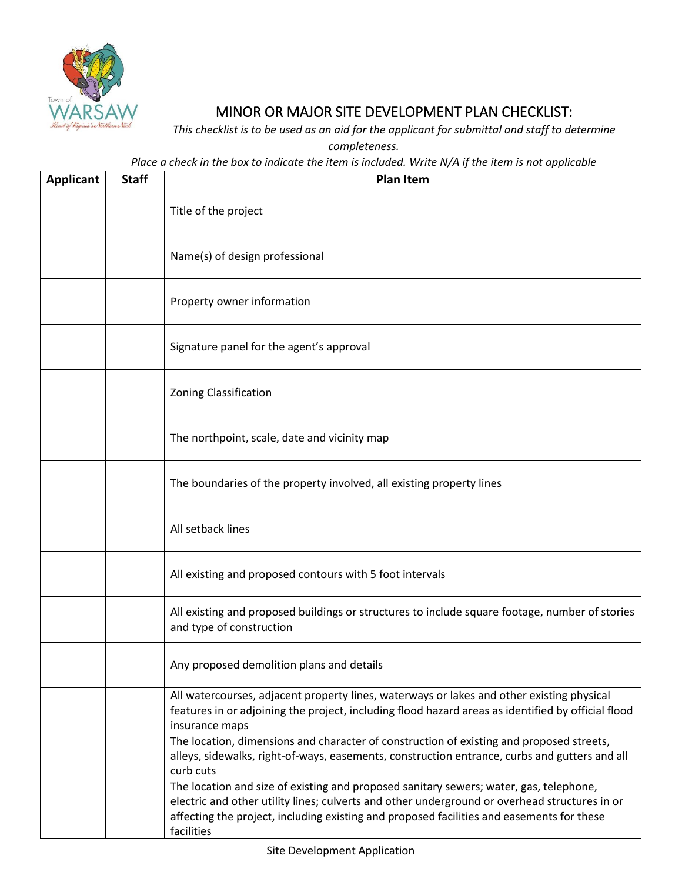

## MINOR OR MAJOR SITE DEVELOPMENT PLAN CHECKLIST:

*This checklist is to be used as an aid for the applicant for submittal and staff to determine completeness.*

*Place a check in the box to indicate the item is included. Write N/A if the item is not applicable*

| <b>Applicant</b> | <b>Staff</b> | <b>Plan Item</b>                                                                                                                                                                                                                                                                                   |
|------------------|--------------|----------------------------------------------------------------------------------------------------------------------------------------------------------------------------------------------------------------------------------------------------------------------------------------------------|
|                  |              | Title of the project                                                                                                                                                                                                                                                                               |
|                  |              | Name(s) of design professional                                                                                                                                                                                                                                                                     |
|                  |              | Property owner information                                                                                                                                                                                                                                                                         |
|                  |              | Signature panel for the agent's approval                                                                                                                                                                                                                                                           |
|                  |              | <b>Zoning Classification</b>                                                                                                                                                                                                                                                                       |
|                  |              | The northpoint, scale, date and vicinity map                                                                                                                                                                                                                                                       |
|                  |              | The boundaries of the property involved, all existing property lines                                                                                                                                                                                                                               |
|                  |              | All setback lines                                                                                                                                                                                                                                                                                  |
|                  |              | All existing and proposed contours with 5 foot intervals                                                                                                                                                                                                                                           |
|                  |              | All existing and proposed buildings or structures to include square footage, number of stories<br>and type of construction                                                                                                                                                                         |
|                  |              | Any proposed demolition plans and details                                                                                                                                                                                                                                                          |
|                  |              | All watercourses, adjacent property lines, waterways or lakes and other existing physical<br>features in or adjoining the project, including flood hazard areas as identified by official flood<br>insurance maps                                                                                  |
|                  |              | The location, dimensions and character of construction of existing and proposed streets,<br>alleys, sidewalks, right-of-ways, easements, construction entrance, curbs and gutters and all<br>curb cuts                                                                                             |
|                  |              | The location and size of existing and proposed sanitary sewers; water, gas, telephone,<br>electric and other utility lines; culverts and other underground or overhead structures in or<br>affecting the project, including existing and proposed facilities and easements for these<br>facilities |